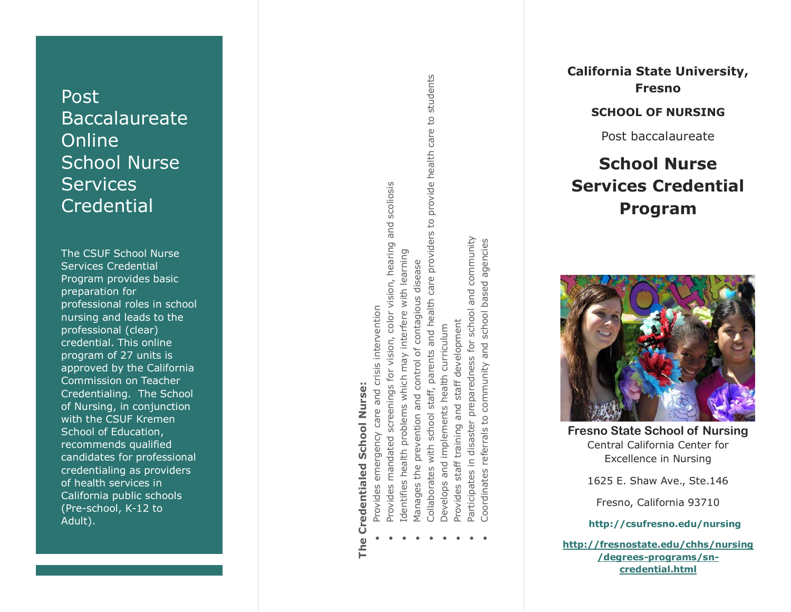## Post Baccalaureate Online School Nurse **Services Credential**

The CSUF School Nurse Services Credential Program provides basic preparation for professional roles in school nursing and leads to the professional (clear) credential. This online program of 27 units is approved by the California Commission on Teacher Credentialing. The School of Nursing , in conjunction with the CSUF Kremen School of Education , recommends qualified candidates for professional credentialing as providers of health services in California public schools (Pre -school, K -12 to Adult).

# **Credentialed School Nurse: The Credentialed School Nurse:** The

Provides emergency care and crisis intervention Provides emergency care and crisis intervention

0

- scollosis Provides mandated screenings for vision, color vision, hearing and scoliosis and screenings for vision, color vision, hearing Provides mandated
	- with learning problems which may interfere Identifies health .
- e Identifies health problems which may interfere with learning 0
	- Manages the prevention and control of contagious disease Manages the prevention and control of contagious disease
- provide health care to students Collaborates with school staff, parents and health care providers to provide health care to students  $\overline{c}$ Collaborates with school staff, parents and health care providers 0
	- health curriculum  $\bullet$  Develops and implements health curriculum Develops and implements .
- staff development Provides staff training and staff development staff training and Provides e
- Participates in disaster preparedness for school and community Participates in disaster preparedness for school and community 0
	- based agencies Coordinates referrals to community and school based agencies school community and referrals to Coordinates 0



**California State University, Fresno**

**SCHOOL OF NURSING**

Post baccalaureate

**School Nurse** 

**Services Credential**

**Fresno State School of Nursing** Central California Center for Excellence in Nursing

1625 E. Shaw Ave., Ste.146

Fresno, California 93710

**<http://csufresno.edu/nursing>**

**[http://fresnostate.edu/chhs/nursing](http://fresnostate.edu/chhs/nursing/degrees-programs/sn-credential.html) /degrees [-programs/sn](http://fresnostate.edu/chhs/nursing/degrees-programs/sn-credential.html) [credential.html](http://fresnostate.edu/chhs/nursing/degrees-programs/sn-credential.html)**